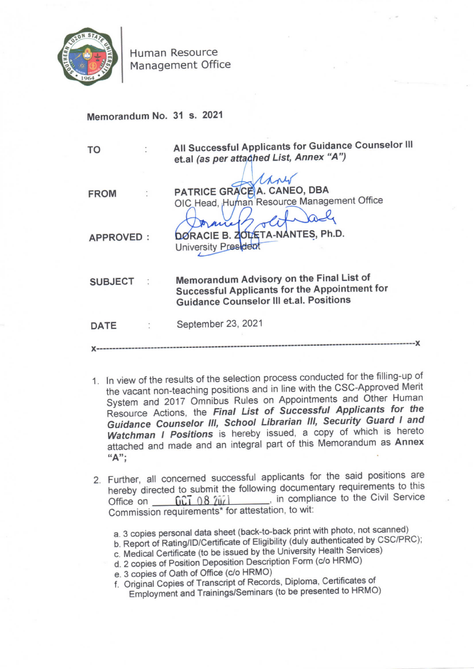

Human Resource Management Office

Memorandum No. 31 s. 2021

| TO             |  | All Successful Applicants for Guidance Counselor III<br>et.al (as per attached List, Annex "A")                                                    |
|----------------|--|----------------------------------------------------------------------------------------------------------------------------------------------------|
| <b>FROM</b>    |  | PATRICE GRACE A. CANEO, DBA<br>OIC Head, Human Resource Management Office                                                                          |
| APPROVED:      |  | ric<br>DØRACIE B. ZOL/ETA-NANTES, Ph.D.<br>University President                                                                                    |
| <b>SUBJECT</b> |  | Memorandum Advisory on the Final List of<br><b>Successful Applicants for the Appointment for</b><br><b>Guidance Counselor III et.al. Positions</b> |
| <b>DATE</b>    |  | September 23, 2021                                                                                                                                 |
|                |  |                                                                                                                                                    |

- 1. In view of the results of the selection process conducted for the filling-up of the vacant non-teaching positions and in line with the CSC-Approved Merit System and 2017 Omnibus Rules on Appointments and Other Human Resource Actions, the Final List of Successful Applicants for the<br>Guidance Counselor III, School Librarian III, Security Guard I and Watchman I Positions is hereby issued, a copy of which is hereto attached and made and an integral part of this Memorandum as Annex  $A$ ";
- 2. Further, all concerned successful applicants for the said positions are hereby directed to submit the following documentary requirements to this Office on <u>CCT 08 2021</u> in compliance to the Civil Service<br>Commission requirements<sup>\*</sup> for attestation, to wit:
	- a. 3 copies personal data sheet (back-to-back print with photo, not scanned)
	- b. Report of Rating/ID/Certificate of Eligibility (duly authenticated by CSC/PRC);
	- c. Medical Certificate (to be issued by the University Health Services)
	- d. 2 copies of Position Deposition Description Form (c/o HRMO)
	- e. 3 copies of Oath of Office (c/a HRMO)
	- f. Original Copies of Transcript of Records, Diploma, Certificates Of
	- Employment and Trainings/Seminars (to be presented to HRMO)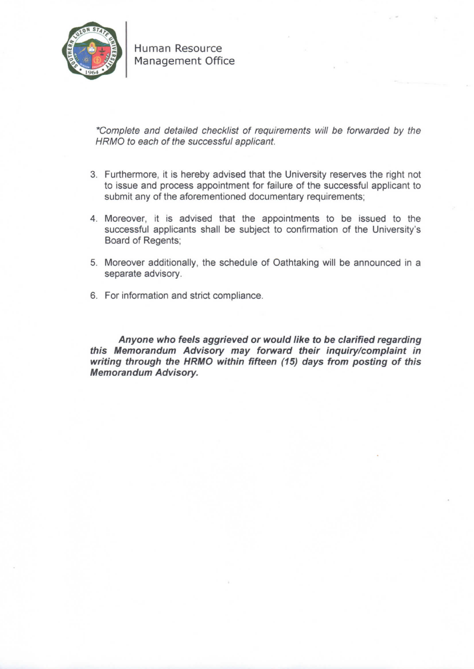

Human Resource Management Office

\*Complete and detailed checklist of requirements will be forwarded by the HRMO to each Of the successful applicant.

- 3. Furthermore, it is hereby advised that the University reserves the right not to issue and process appointment for failure of the successful applicant to submit any of the aforementioned documentary requirements;
- 4. Moreover, it is advised that the appointments to be issued to the successful applicants shall be subject to confirmation of the University's Board of Regents;
- 5. Moreover additionally, the schedule of Oathtaking will be announced in a separate advisory.
- 6. For information and strict compliance.

Anyone who feels aggrieved or would like to be clarified regarding this Nlemorandum Advisory may forward their inquiry/complaint in writing through the HRMO within fifteen (15) days from posting of this Memorandum Advisory.